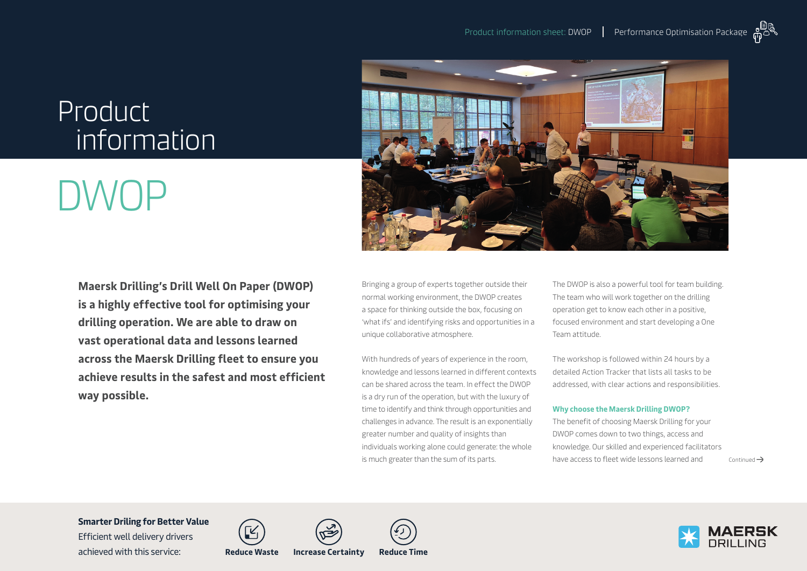## Product information

# DWOP

**Maersk Drilling's Drill Well On Paper (DWOP) is a highly effective tool for optimising your drilling operation. We are able to draw on vast operational data and lessons learned across the Maersk Drilling fleet to ensure you achieve results in the safest and most efficient way possible.**



Bringing a group of experts together outside their normal working environment, the DWOP creates a space for thinking outside the box, focusing on 'what ifs' and identifying risks and opportunities in a unique collaborative atmosphere.

With hundreds of years of experience in the room, knowledge and lessons learned in different contexts can be shared across the team. In effect the DWOP is a dry run of the operation, but with the luxury of time to identify and think through opportunities and challenges in advance. The result is an exponentially greater number and quality of insights than individuals working alone could generate: the whole is much greater than the sum of its parts.

The DWOP is also a powerful tool for team building. The team who will work together on the drilling operation get to know each other in a positive, focused environment and start developing a One Team attitude.

The workshop is followed within 24 hours by a detailed Action Tracker that lists all tasks to be addressed, with clear actions and responsibilities.

#### **Why choose the Maersk Drilling DWOP?**

The benefit of choosing Maersk Drilling for your DWOP comes down to two things, access and knowledge. Our skilled and experienced facilitators have access to fleet wide lessons learned and  $\rightarrow$  Continued  $\rightarrow$ 

**Smarter Driling for Better Value** 

Efficient well delivery drivers achieved with this service: **Reduce Waste Increase Certainty Reduce Time**